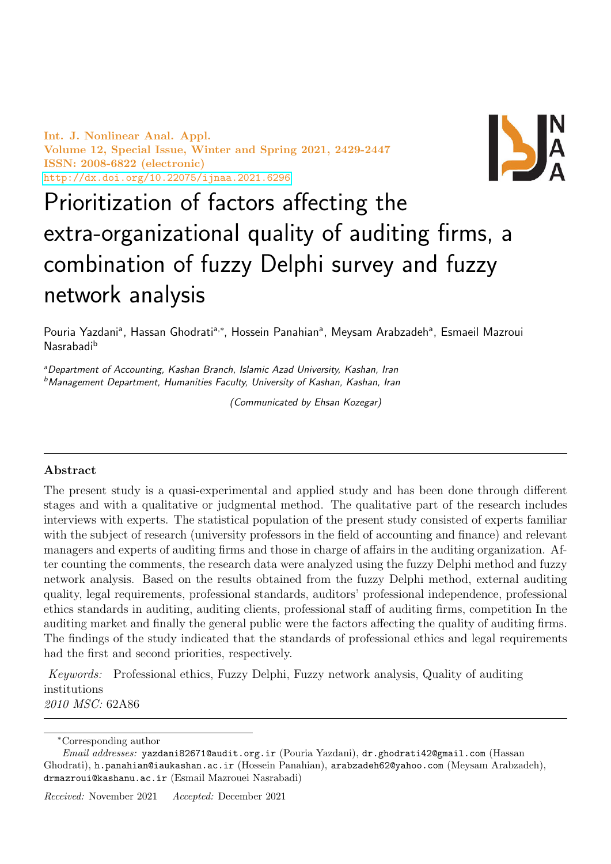Int. J. Nonlinear Anal. Appl. Volume 12, Special Issue, Winter and Spring 2021, 2429-2447 ISSN: 2008-6822 (electronic) <http://dx.doi.org/10.22075/ijnaa.2021.6296>



# Prioritization of factors affecting the extra-organizational quality of auditing firms, a combination of fuzzy Delphi survey and fuzzy network analysis

Pouria Yazdani<sup>a</sup>, Hassan Ghodrati<sup>a,∗</sup>, Hossein Panahian<sup>a</sup>, Meysam Arabzadeh<sup>a</sup>, Esmaeil Mazroui Nasrabadi<sup>b</sup>

aDepartment of Accounting, Kashan Branch, Islamic Azad University, Kashan, Iran b Management Department, Humanities Faculty, University of Kashan, Kashan, Iran

(Communicated by Ehsan Kozegar)

## Abstract

The present study is a quasi-experimental and applied study and has been done through different stages and with a qualitative or judgmental method. The qualitative part of the research includes interviews with experts. The statistical population of the present study consisted of experts familiar with the subject of research (university professors in the field of accounting and finance) and relevant managers and experts of auditing firms and those in charge of affairs in the auditing organization. After counting the comments, the research data were analyzed using the fuzzy Delphi method and fuzzy network analysis. Based on the results obtained from the fuzzy Delphi method, external auditing quality, legal requirements, professional standards, auditors' professional independence, professional ethics standards in auditing, auditing clients, professional staff of auditing firms, competition In the auditing market and finally the general public were the factors affecting the quality of auditing firms. The findings of the study indicated that the standards of professional ethics and legal requirements had the first and second priorities, respectively.

Keywords: Professional ethics, Fuzzy Delphi, Fuzzy network analysis, Quality of auditing institutions 2010 MSC: 62A86

<sup>∗</sup>Corresponding author

Email addresses: yazdani82671@audit.org.ir (Pouria Yazdani), dr.ghodrati42@gmail.com (Hassan Ghodrati), h.panahian@iaukashan.ac.ir (Hossein Panahian), arabzadeh62@yahoo.com (Meysam Arabzadeh), drmazroui@kashanu.ac.ir (Esmail Mazrouei Nasrabadi)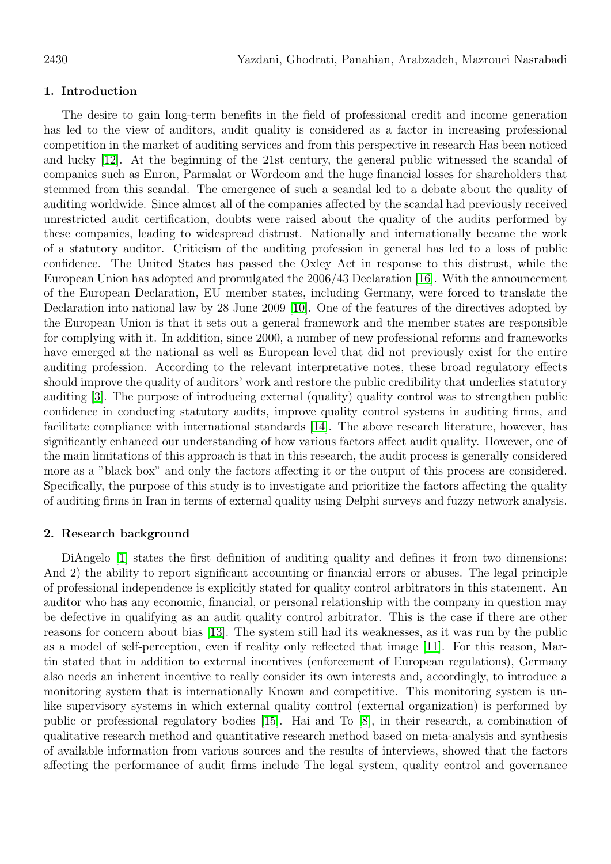### 1. Introduction

The desire to gain long-term benefits in the field of professional credit and income generation has led to the view of auditors, audit quality is considered as a factor in increasing professional competition in the market of auditing services and from this perspective in research Has been noticed and lucky [\[12\]](#page-18-0). At the beginning of the 21st century, the general public witnessed the scandal of companies such as Enron, Parmalat or Wordcom and the huge financial losses for shareholders that stemmed from this scandal. The emergence of such a scandal led to a debate about the quality of auditing worldwide. Since almost all of the companies affected by the scandal had previously received unrestricted audit certification, doubts were raised about the quality of the audits performed by these companies, leading to widespread distrust. Nationally and internationally became the work of a statutory auditor. Criticism of the auditing profession in general has led to a loss of public confidence. The United States has passed the Oxley Act in response to this distrust, while the European Union has adopted and promulgated the 2006/43 Declaration [\[16\]](#page-18-1). With the announcement of the European Declaration, EU member states, including Germany, were forced to translate the Declaration into national law by 28 June 2009 [\[10\]](#page-18-2). One of the features of the directives adopted by the European Union is that it sets out a general framework and the member states are responsible for complying with it. In addition, since 2000, a number of new professional reforms and frameworks have emerged at the national as well as European level that did not previously exist for the entire auditing profession. According to the relevant interpretative notes, these broad regulatory effects should improve the quality of auditors' work and restore the public credibility that underlies statutory auditing [\[3\]](#page-17-0). The purpose of introducing external (quality) quality control was to strengthen public confidence in conducting statutory audits, improve quality control systems in auditing firms, and facilitate compliance with international standards [\[14\]](#page-18-3). The above research literature, however, has significantly enhanced our understanding of how various factors affect audit quality. However, one of the main limitations of this approach is that in this research, the audit process is generally considered more as a "black box" and only the factors affecting it or the output of this process are considered. Specifically, the purpose of this study is to investigate and prioritize the factors affecting the quality of auditing firms in Iran in terms of external quality using Delphi surveys and fuzzy network analysis.

#### 2. Research background

DiAngelo [\[1\]](#page-17-1) states the first definition of auditing quality and defines it from two dimensions: And 2) the ability to report significant accounting or financial errors or abuses. The legal principle of professional independence is explicitly stated for quality control arbitrators in this statement. An auditor who has any economic, financial, or personal relationship with the company in question may be defective in qualifying as an audit quality control arbitrator. This is the case if there are other reasons for concern about bias [\[13\]](#page-18-4). The system still had its weaknesses, as it was run by the public as a model of self-perception, even if reality only reflected that image [\[11\]](#page-18-5). For this reason, Martin stated that in addition to external incentives (enforcement of European regulations), Germany also needs an inherent incentive to really consider its own interests and, accordingly, to introduce a monitoring system that is internationally Known and competitive. This monitoring system is unlike supervisory systems in which external quality control (external organization) is performed by public or professional regulatory bodies [\[15\]](#page-18-6). Hai and To [\[8\]](#page-18-7), in their research, a combination of qualitative research method and quantitative research method based on meta-analysis and synthesis of available information from various sources and the results of interviews, showed that the factors affecting the performance of audit firms include The legal system, quality control and governance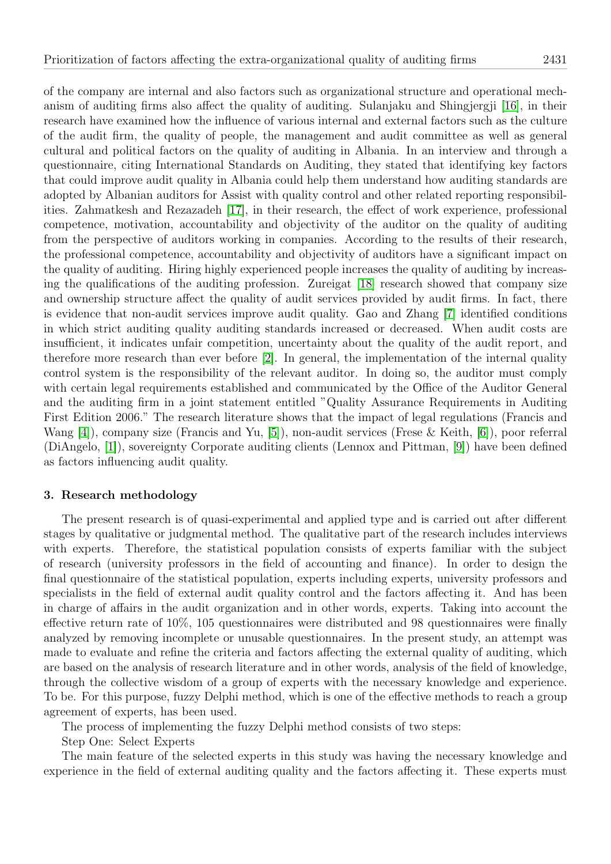of the company are internal and also factors such as organizational structure and operational mechanism of auditing firms also affect the quality of auditing. Sulanjaku and Shingjergji [\[16\]](#page-18-1), in their research have examined how the influence of various internal and external factors such as the culture of the audit firm, the quality of people, the management and audit committee as well as general cultural and political factors on the quality of auditing in Albania. In an interview and through a questionnaire, citing International Standards on Auditing, they stated that identifying key factors that could improve audit quality in Albania could help them understand how auditing standards are adopted by Albanian auditors for Assist with quality control and other related reporting responsibilities. Zahmatkesh and Rezazadeh [\[17\]](#page-18-8), in their research, the effect of work experience, professional competence, motivation, accountability and objectivity of the auditor on the quality of auditing from the perspective of auditors working in companies. According to the results of their research, the professional competence, accountability and objectivity of auditors have a significant impact on the quality of auditing. Hiring highly experienced people increases the quality of auditing by increasing the qualifications of the auditing profession. Zureigat [\[18\]](#page-18-9) research showed that company size and ownership structure affect the quality of audit services provided by audit firms. In fact, there is evidence that non-audit services improve audit quality. Gao and Zhang [\[7\]](#page-18-10) identified conditions in which strict auditing quality auditing standards increased or decreased. When audit costs are insufficient, it indicates unfair competition, uncertainty about the quality of the audit report, and therefore more research than ever before [\[2\]](#page-17-2). In general, the implementation of the internal quality control system is the responsibility of the relevant auditor. In doing so, the auditor must comply with certain legal requirements established and communicated by the Office of the Auditor General and the auditing firm in a joint statement entitled "Quality Assurance Requirements in Auditing First Edition 2006." The research literature shows that the impact of legal regulations (Francis and Wang [\[4\]](#page-17-3)), company size (Francis and Yu, [\[5\]](#page-18-11)), non-audit services (Frese & Keith, [\[6\]](#page-18-12)), poor referral (DiAngelo, [\[1\]](#page-17-1)), sovereignty Corporate auditing clients (Lennox and Pittman, [\[9\]](#page-18-13)) have been defined as factors influencing audit quality.

#### 3. Research methodology

The present research is of quasi-experimental and applied type and is carried out after different stages by qualitative or judgmental method. The qualitative part of the research includes interviews with experts. Therefore, the statistical population consists of experts familiar with the subject of research (university professors in the field of accounting and finance). In order to design the final questionnaire of the statistical population, experts including experts, university professors and specialists in the field of external audit quality control and the factors affecting it. And has been in charge of affairs in the audit organization and in other words, experts. Taking into account the effective return rate of 10%, 105 questionnaires were distributed and 98 questionnaires were finally analyzed by removing incomplete or unusable questionnaires. In the present study, an attempt was made to evaluate and refine the criteria and factors affecting the external quality of auditing, which are based on the analysis of research literature and in other words, analysis of the field of knowledge, through the collective wisdom of a group of experts with the necessary knowledge and experience. To be. For this purpose, fuzzy Delphi method, which is one of the effective methods to reach a group agreement of experts, has been used.

The process of implementing the fuzzy Delphi method consists of two steps:

Step One: Select Experts

The main feature of the selected experts in this study was having the necessary knowledge and experience in the field of external auditing quality and the factors affecting it. These experts must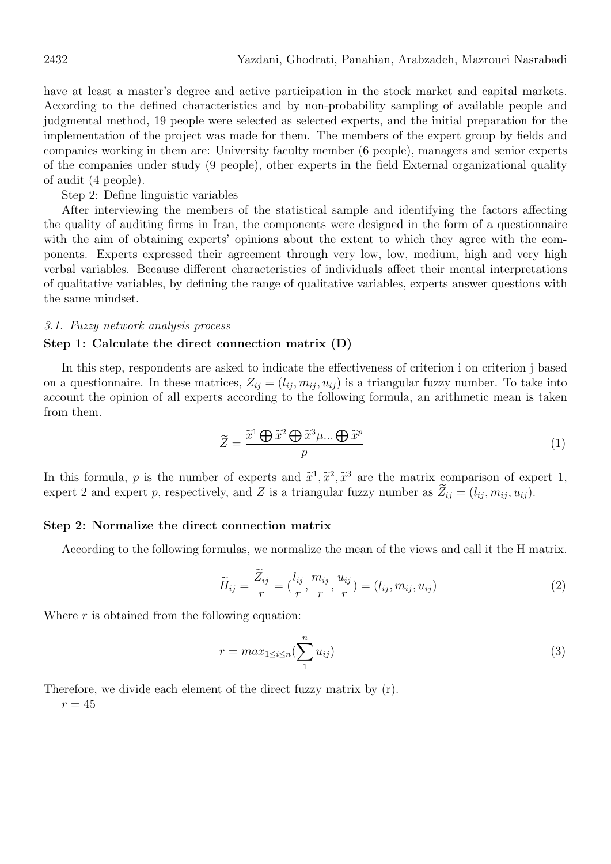have at least a master's degree and active participation in the stock market and capital markets. According to the defined characteristics and by non-probability sampling of available people and judgmental method, 19 people were selected as selected experts, and the initial preparation for the implementation of the project was made for them. The members of the expert group by fields and companies working in them are: University faculty member (6 people), managers and senior experts of the companies under study (9 people), other experts in the field External organizational quality of audit (4 people).

Step 2: Define linguistic variables

After interviewing the members of the statistical sample and identifying the factors affecting the quality of auditing firms in Iran, the components were designed in the form of a questionnaire with the aim of obtaining experts' opinions about the extent to which they agree with the components. Experts expressed their agreement through very low, low, medium, high and very high verbal variables. Because different characteristics of individuals affect their mental interpretations of qualitative variables, by defining the range of qualitative variables, experts answer questions with the same mindset.

#### 3.1. Fuzzy network analysis process

#### Step 1: Calculate the direct connection matrix (D)

In this step, respondents are asked to indicate the effectiveness of criterion i on criterion j based on a questionnaire. In these matrices,  $Z_{ij} = (l_{ij}, m_{ij}, u_{ij})$  is a triangular fuzzy number. To take into account the opinion of all experts according to the following formula, an arithmetic mean is taken from them.

$$
\widetilde{Z} = \frac{\widetilde{x}^1 \bigoplus \widetilde{x}^2 \bigoplus \widetilde{x}^3 \mu \dots \bigoplus \widetilde{x}^p}{p} \tag{1}
$$

In this formula, p is the number of experts and  $\tilde{x}^1$ ,  $\tilde{x}^2$ ,  $\tilde{x}^3$  are the matrix comparison of expert 1,<br>expert 2 and expert n respectively and Z is a triangular fuzzy number as  $\tilde{Z} = (l, m, u)$ . expert 2 and expert p, respectively, and Z is a triangular fuzzy number as  $Z_{ij} = (l_{ij}, m_{ij}, u_{ij})$ .

### Step 2: Normalize the direct connection matrix

According to the following formulas, we normalize the mean of the views and call it the H matrix.

$$
\widetilde{H}_{ij} = \frac{\widetilde{Z}_{ij}}{r} = \left(\frac{l_{ij}}{r}, \frac{m_{ij}}{r}, \frac{u_{ij}}{r}\right) = (l_{ij}, m_{ij}, u_{ij})\tag{2}
$$

Where  $r$  is obtained from the following equation:

$$
r = max_{1 \le i \le n} \left(\sum_{1}^{n} u_{ij}\right) \tag{3}
$$

Therefore, we divide each element of the direct fuzzy matrix by (r).

 $r = 45$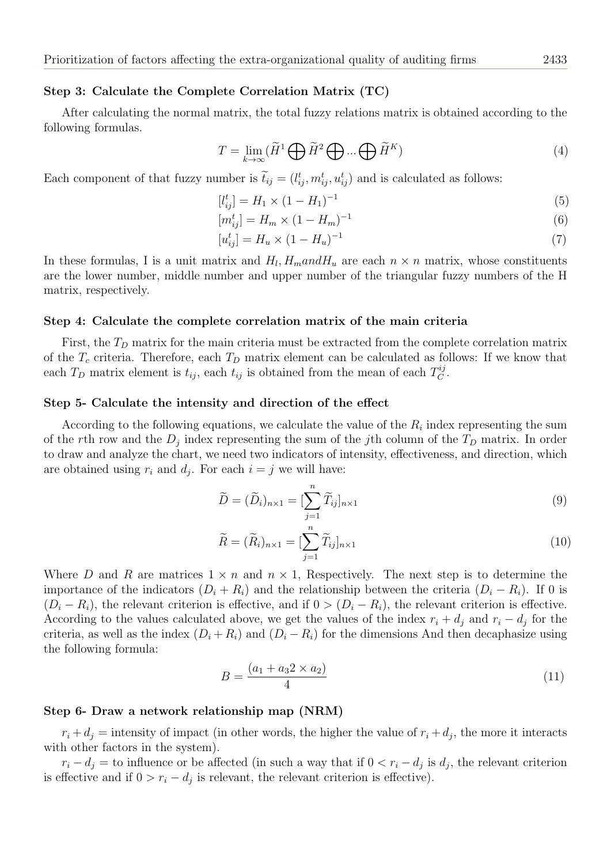#### Step 3: Calculate the Complete Correlation Matrix (TC)

After calculating the normal matrix, the total fuzzy relations matrix is obtained according to the following formulas.

$$
T = \lim_{k \to \infty} (\widetilde{H}^1 \bigoplus \widetilde{H}^2 \bigoplus \dots \bigoplus \widetilde{H}^K)
$$
\n(4)

Each component of that fuzzy number is  $\tilde{t}_{ij} = (l_{ij}^t, m_{ij}^t, u_{ij}^t)$  and is calculated as follows:

$$
[l_{ij}^t] = H_1 \times (1 - H_1)^{-1} \tag{5}
$$

$$
[m_{ij}^t] = H_m \times (1 - H_m)^{-1}
$$
\n(6)

$$
[u_{ij}^t] = H_u \times (1 - H_u)^{-1} \tag{7}
$$

In these formulas, I is a unit matrix and  $H_l$ ,  $H_m$  and  $H_u$  are each  $n \times n$  matrix, whose constituents are the lower number, middle number and upper number of the triangular fuzzy numbers of the H matrix, respectively.

#### Step 4: Calculate the complete correlation matrix of the main criteria

First, the  $T<sub>D</sub>$  matrix for the main criteria must be extracted from the complete correlation matrix of the  $T_c$  criteria. Therefore, each  $T_D$  matrix element can be calculated as follows: If we know that each  $T_D$  matrix element is  $t_{ij}$ , each  $t_{ij}$  is obtained from the mean of each  $T_C^{ij}$  $_C^{ij}.$ 

#### Step 5- Calculate the intensity and direction of the effect

According to the following equations, we calculate the value of the  $R_i$  index representing the sum of the rth row and the  $D_j$  index representing the sum of the j<sup>th</sup> column of the  $T_D$  matrix. In order to draw and analyze the chart, we need two indicators of intensity, effectiveness, and direction, which are obtained using  $r_i$  and  $d_j$ . For each  $i = j$  we will have:

$$
\widetilde{D} = (\widetilde{D}_i)_{n \times 1} = [\sum_{j=1}^n \widetilde{T}_{ij}]_{n \times 1} \tag{9}
$$

$$
\widetilde{R} = (\widetilde{R}_i)_{n \times 1} = \left[\sum_{j=1}^n \widetilde{T}_{ij}\right]_{n \times 1} \tag{10}
$$

Where D and R are matrices  $1 \times n$  and  $n \times 1$ , Respectively. The next step is to determine the importance of the indicators  $(D_i + R_i)$  and the relationship between the criteria  $(D_i - R_i)$ . If 0 is  $(D_i - R_i)$ , the relevant criterion is effective, and if  $0 > (D_i - R_i)$ , the relevant criterion is effective. According to the values calculated above, we get the values of the index  $r_i + d_j$  and  $r_i - d_j$  for the criteria, as well as the index  $(D_i + R_i)$  and  $(D_i - R_i)$  for the dimensions And then decaphasize using the following formula:

$$
B = \frac{(a_1 + a_3 2 \times a_2)}{4} \tag{11}
$$

#### Step 6- Draw a network relationship map (NRM)

 $r_i + d_j$  = intensity of impact (in other words, the higher the value of  $r_i + d_j$ , the more it interacts with other factors in the system).

 $r_i - d_j =$  to influence or be affected (in such a way that if  $0 < r_i - d_j$  is  $d_j$ , the relevant criterion is effective and if  $0 > r_i - d_j$  is relevant, the relevant criterion is effective).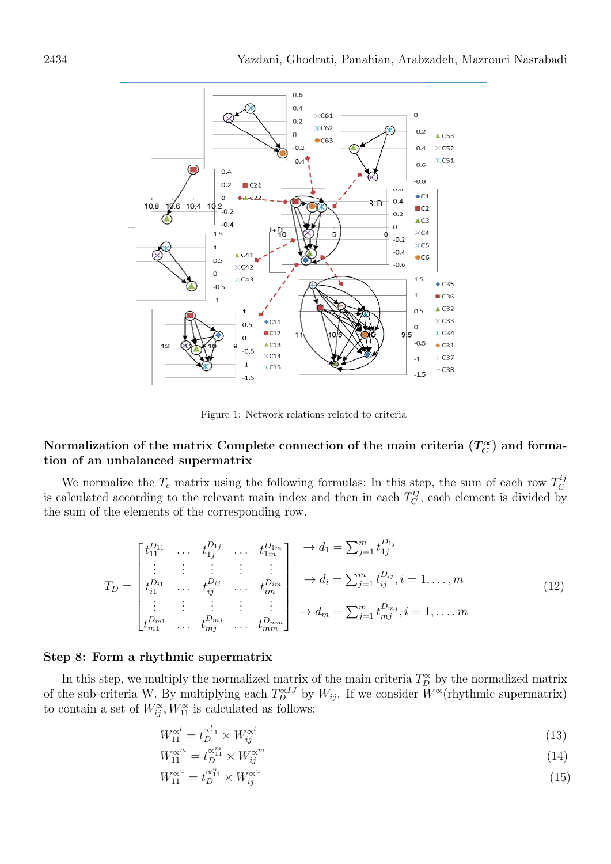

Figure 1: Network relations related to criteria

#### Normalization of the matrix Complete connection of the main criteria ( $T_C^{\infty}$  $_{C}^{\infty})$  and formation of an unbalanced supermatrix

We normalize the  $T_c$  matrix using the following formulas; In this step, the sum of each row  $T_C^{ij}$ C is calculated according to the relevant main index and then in each  $T_C^{ij}$  $C<sup>nj</sup>$ , each element is divided by the sum of the elements of the corresponding row.

$$
T_{D} = \begin{bmatrix} t_{11}^{D_{11}} & \dots & t_{1j}^{D_{1j}} & \dots & t_{1m}^{D_{1m}} \\ \vdots & \vdots & \vdots & \vdots & \vdots \\ t_{i1}^{D_{i1}} & \dots & t_{ij}^{D_{ij}} & \dots & t_{im}^{D_{im}} \\ \vdots & \vdots & \vdots & \vdots & \vdots \\ t_{m1}^{D_{m1}} & \dots & t_{mj}^{D_{mj}} & \dots & t_{mm}^{D_{mm}} \end{bmatrix} \rightarrow d_{i} = \sum_{j=1}^{m} t_{ij}^{D_{ij}}, i = 1, \dots, m
$$
\n
$$
d_{m} = \sum_{j=1}^{m} t_{mj}^{D_{mj}}, i = 1, \dots, m
$$
\n
$$
(12)
$$

### Step 8: Form a rhythmic supermatrix

In this step, we multiply the normalized matrix of the main criteria  $T_D^{\alpha}$  by the normalized matrix of the sub-criteria W. By multiplying each  $T_D^{\alpha IJ}$  by  $W_{ij}$ . If we consider  $W^{\alpha}$ (rhythmic supermatrix) to contain a set of  $W_{ij}^{\alpha}, W_{11}^{\alpha}$  is calculated as follows:

$$
W_{11}^{\alpha^l} = t_D^{\alpha^l_{11}} \times W_{ij}^{\alpha^l} \tag{13}
$$

$$
W_{11}^{\alpha^m} = t_D^{\alpha_1^m} \times W_{ij}^{\alpha^m} \tag{14}
$$

$$
W_{11}^{\alpha^u} = t_D^{\alpha^u_{11}} \times W_{ij}^{\alpha^u}
$$
 (15)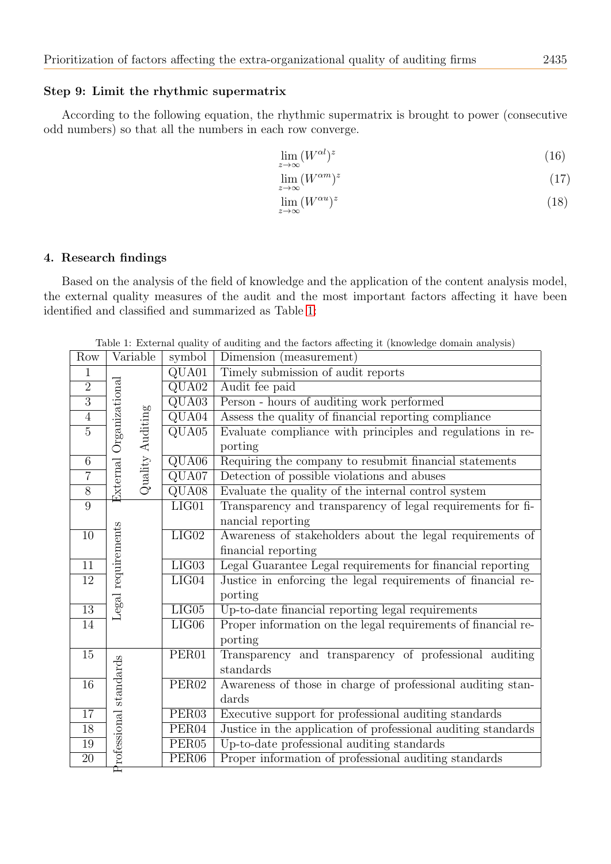#### Step 9: Limit the rhythmic supermatrix

According to the following equation, the rhythmic supermatrix is brought to power (consecutive odd numbers) so that all the numbers in each row converge.

$$
\lim_{z \to \infty} (W^{\alpha l})^z \tag{16}
$$

$$
\lim_{z \to \infty} (W^{\alpha m})^z \tag{17}
$$

$$
\lim_{z \to \infty} (W^{\alpha u})^z \tag{18}
$$

## 4. Research findings

Based on the analysis of the field of knowledge and the application of the content analysis model, the external quality measures of the audit and the most important factors affecting it have been identified and classified and summarized as Table [1:](#page-6-0)

Table 1: External quality of auditing and the factors affecting it (knowledge domain analysis)

<span id="page-6-0"></span>

| Row             | Variable                                                 | symbol                    | Dimension (measurement)                                       |
|-----------------|----------------------------------------------------------|---------------------------|---------------------------------------------------------------|
| $\mathbf{1}$    |                                                          | QUA01                     | Timely submission of audit reports                            |
| $\overline{2}$  |                                                          | $\overline{\text{QUA02}}$ | Audit fee paid                                                |
| $\overline{3}$  |                                                          | $\overline{\text{QUA03}}$ | Person - hours of auditing work performed                     |
| $\overline{4}$  |                                                          | $\overline{\text{QUA04}}$ | Assess the quality of financial reporting compliance          |
| $\overline{5}$  |                                                          | $\overline{\text{QUA05}}$ | Evaluate compliance with principles and regulations in re-    |
|                 |                                                          |                           | porting                                                       |
| $\overline{6}$  | $\mbox{\sl External}$ Organizational<br>Quality Auditing | $\overline{\text{QUA06}}$ | Requiring the company to resubmit financial statements        |
| $\overline{7}$  |                                                          | $\overline{\text{QUA07}}$ | Detection of possible violations and abuses                   |
| $\overline{8}$  |                                                          | $\overline{\text{QUA08}}$ | Evaluate the quality of the internal control system           |
| $\overline{9}$  |                                                          | $LI$ G01                  | Transparency and transparency of legal requirements for fi-   |
|                 |                                                          |                           | nancial reporting                                             |
| 10              |                                                          | LIG02                     | Awareness of stakeholders about the legal requirements of     |
|                 |                                                          |                           | financial reporting                                           |
| 11              | Legal requirements                                       | LIG03                     | Legal Guarantee Legal requirements for financial reporting    |
| $\overline{12}$ |                                                          | LIG04                     | Justice in enforcing the legal requirements of financial re-  |
|                 |                                                          |                           | porting                                                       |
| $13\,$          |                                                          | LIG05                     | Up-to-date financial reporting legal requirements             |
| 14              |                                                          | LIG06                     | Proper information on the legal requirements of financial re- |
|                 |                                                          |                           | porting                                                       |
| $\overline{15}$ |                                                          | PER <sub>01</sub>         | Transparency and transparency of professional auditing        |
|                 |                                                          |                           | standards                                                     |
| $\overline{16}$ |                                                          | PER <sub>02</sub>         | Awareness of those in charge of professional auditing stan-   |
|                 |                                                          |                           | dards                                                         |
| 17              |                                                          | PER <sub>03</sub>         | Executive support for professional auditing standards         |
| 18              |                                                          | PER <sub>04</sub>         | Justice in the application of professional auditing standards |
| $19\,$          | PER <sub>05</sub>                                        |                           | Up-to-date professional auditing standards                    |
| $20\,$          | Professional standards                                   | PER <sub>06</sub>         | Proper information of professional auditing standards         |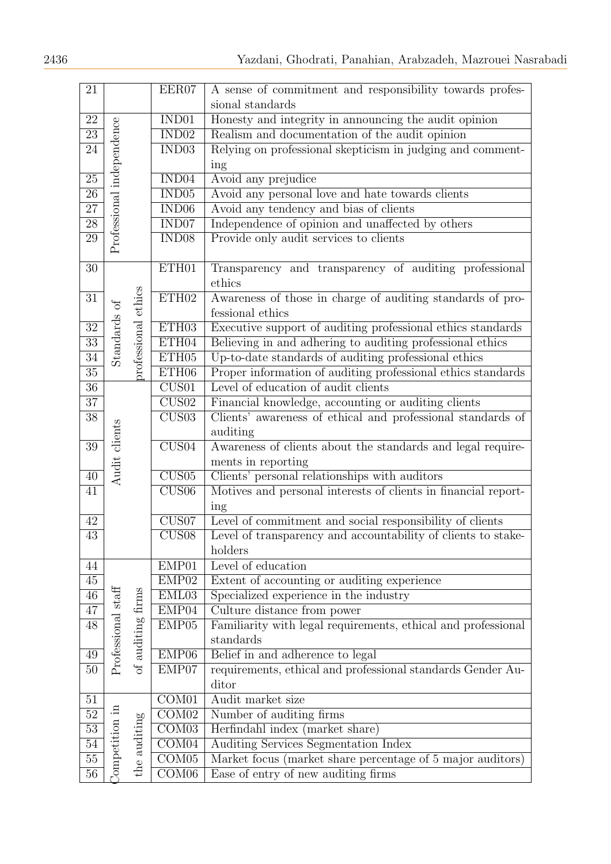| 21              |                           |                     | EER07                       | A sense of commitment and responsibility towards profes-       |
|-----------------|---------------------------|---------------------|-----------------------------|----------------------------------------------------------------|
|                 |                           |                     |                             | sional standards                                               |
| 22              |                           |                     | IND01                       | Honesty and integrity in announcing the audit opinion          |
| $\overline{23}$ |                           |                     | $\overline{\mathrm{IND}02}$ | Realism and documentation of the audit opinion                 |
| $\overline{24}$ |                           |                     | IND <sub>03</sub>           | Relying on professional skepticism in judging and comment-     |
|                 | Professional independence |                     |                             | ing                                                            |
| $25\,$          |                           |                     | IND04                       | Avoid any prejudice                                            |
| $\overline{26}$ |                           |                     | IND <sub>05</sub>           | Avoid any personal love and hate towards clients               |
| $\overline{27}$ |                           |                     | $\overline{\mathrm{IND06}}$ | Avoid any tendency and bias of clients                         |
| $\overline{28}$ |                           |                     | IND07                       | Independence of opinion and unaffected by others               |
| 29              |                           |                     | IND08                       | Provide only audit services to clients                         |
|                 |                           |                     |                             |                                                                |
| 30              |                           |                     | ETH01                       | Transparency and transparency of auditing professional         |
|                 |                           |                     |                             | ethics                                                         |
| $\overline{31}$ |                           |                     | ETH02                       | Awareness of those in charge of auditing standards of pro-     |
|                 |                           |                     |                             | fessional ethics                                               |
| $\overline{32}$ | Standards of              | professional ethics | ETH03                       | Executive support of auditing professional ethics standards    |
| $\overline{33}$ |                           |                     | ETH04                       | Believing in and adhering to auditing professional ethics      |
| $\overline{34}$ |                           |                     | ETH05                       | Up-to-date standards of auditing professional ethics           |
| $\overline{35}$ |                           |                     | ETH <sub>06</sub>           | Proper information of auditing professional ethics standards   |
| $36\,$          |                           |                     | CUS01                       | Level of education of audit clients                            |
| $\overline{37}$ |                           |                     | CUS02                       | Financial knowledge, accounting or auditing clients            |
| $\overline{38}$ |                           |                     | CUS03                       | Clients' awareness of ethical and professional standards of    |
|                 |                           |                     |                             | auditing                                                       |
| $39\,$          |                           |                     | CUS04                       | Awareness of clients about the standards and legal require-    |
|                 |                           |                     |                             | ments in reporting                                             |
| 40              | Audit clients             |                     | CUS05                       | Clients' personal relationships with auditors                  |
| $\overline{41}$ |                           |                     | CUS06                       | Motives and personal interests of clients in financial report- |
|                 |                           |                     |                             | ing                                                            |
| 42              |                           |                     | CUS07                       | Level of commitment and social responsibility of clients       |
| 43              |                           |                     | CUS08                       | Level of transparency and accountability of clients to stake-  |
|                 |                           |                     |                             | holders                                                        |
| 44              |                           |                     | EMP01                       | Level of education                                             |
| 45              |                           |                     | EMP02                       | Extent of accounting or auditing experience                    |
| $\overline{46}$ |                           |                     | EML03                       | Specialized experience in the industry                         |
| $\overline{47}$ |                           |                     | EMP04                       | Culture distance from power                                    |
| $\overline{48}$ | Professional staff        | of auditing firms   | EMP05                       | Familiarity with legal requirements, ethical and professional  |
|                 |                           |                     |                             | standards                                                      |
| 49              |                           |                     | EMP <sub>06</sub>           | Belief in and adherence to legal                               |
| $\overline{50}$ |                           |                     | EMP07                       | requirements, ethical and professional standards Gender Au-    |
|                 |                           |                     |                             | ditor                                                          |
| $51\,$          |                           |                     | COM01                       | Audit market size                                              |
| $\overline{52}$ |                           |                     | $\overline{\mathrm{COM}02}$ | Number of auditing firms                                       |
| $\overline{53}$ |                           |                     | $\overline{\text{COM03}}$   | Herfindahl index (market share)                                |
| $\overline{54}$ |                           |                     | COM04                       | Auditing Services Segmentation Index                           |
| $\overline{55}$ | ompetition in             | the auditing        | $\overline{\text{COM05}}$   | Market focus (market share percentage of 5 major auditors)     |
| $\overline{56}$ |                           |                     | COM06                       | Ease of entry of new auditing firms                            |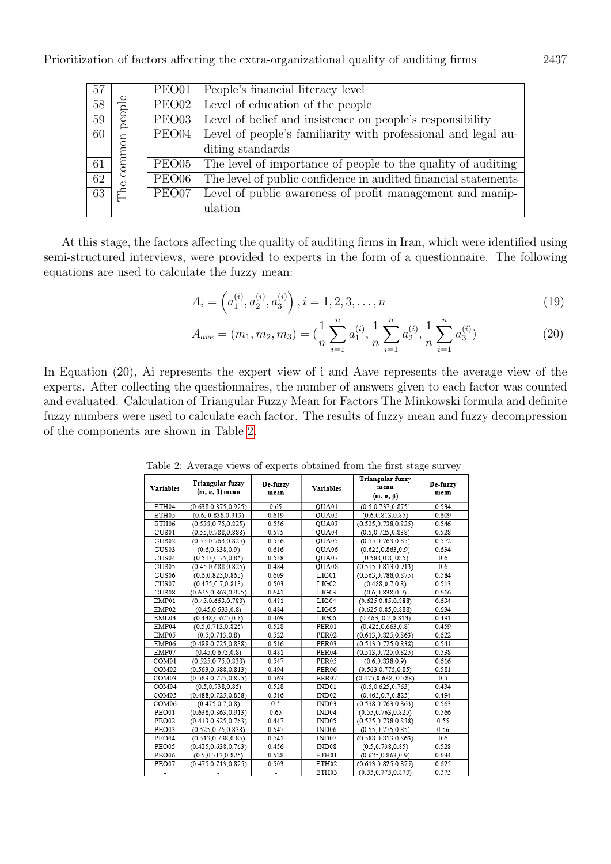| 57              |                            | PEO01                      | People's financial literacy level                              |
|-----------------|----------------------------|----------------------------|----------------------------------------------------------------|
| $\overline{58}$ |                            | PEO02                      | Level of education of the people                               |
| $\overline{59}$ | people                     | $\overline{\text{PE}}$ O03 | Level of belief and insistence on people's responsibility      |
| $\overline{60}$ |                            | PEO04                      | Level of people's familiarity with professional and legal au-  |
|                 |                            |                            | diting standards                                               |
| 61              | common                     | $\overline{\text{PE}}$ O05 | The level of importance of people to the quality of auditing   |
| $\overline{62}$ |                            | PEO06                      | The level of public confidence in audited financial statements |
| $\overline{63}$ | $\mathbb{C}^{\mathsf{he}}$ | PEO07                      | Level of public awareness of profit management and manip-      |
|                 |                            |                            | ulation                                                        |

At this stage, the factors affecting the quality of auditing firms in Iran, which were identified using semi-structured interviews, were provided to experts in the form of a questionnaire. The following equations are used to calculate the fuzzy mean:

$$
A_i = \left(a_1^{(i)}, a_2^{(i)}, a_3^{(i)}\right), i = 1, 2, 3, \dots, n
$$
\n<sup>(19)</sup>

$$
A_{ave} = (m_1, m_2, m_3) = \left(\frac{1}{n}\sum_{i=1}^n a_1^{(i)}, \frac{1}{n}\sum_{i=1}^n a_2^{(i)}, \frac{1}{n}\sum_{i=1}^n a_3^{(i)}\right)
$$
(20)

<span id="page-8-0"></span>In Equation (20), Ai represents the expert view of i and Aave represents the average view of the experts. After collecting the questionnaires, the number of answers given to each factor was counted and evaluated. Calculation of Triangular Fuzzy Mean for Factors The Minkowski formula and definite fuzzy numbers were used to calculate each factor. The results of fuzzy mean and fuzzy decompression of the components are shown in Table [2.](#page-8-0)

| <b>Variables</b>  | Triangular fuzzy<br>$(m, \alpha, \beta)$ mean | De-fuzzy<br>mean | Variables         | Triangular fuzzy<br>mean<br>$(m, \alpha, \beta)$ | De-fuzzy<br>mean |
|-------------------|-----------------------------------------------|------------------|-------------------|--------------------------------------------------|------------------|
| ETH04             | (0.638, 0.875, 0.925)                         | 0.65             | QUA01             | (0.5, 0.737, 0.875)                              | 0.534            |
| ETH05             | (0.6, 0.838, 0.913)                           | 0.619            | QUA02             | (0.6.0.813.0.85)                                 | 0.609            |
| ETH06             | (0.538.0.75.0.825)                            | 0.556            | OUA03             | (0.525, 0.738, 0.825)                            | 0.546            |
| CUS01             | (0.55, 0.788, 0.888)                          | 0.575            | QUA04             | (0.5, 0.725, 0.838)                              | 0.528            |
| CUS <sub>02</sub> | (0.55, 0.763, 0.825)                          | 0.556            | QUA05             | (0.55, 0.763, 0.85)                              | 0.572            |
| CUS03             | (0.6, 0.838, 0.9)                             | 0.616            | QUA06             | (0.625, 0.863, 0.9)                              | 0.634            |
| CUS04             | (0.513, 0.75, 0.85)                           | 0.538            | OUA07             | (0.588, 0.8, 0.085)                              | 0.6              |
| CUS05             | (0.45, 0.688, 0.825)                          | 0.484            | QUA08             | (0.575, 0.813, 0.913)                            | 0.6              |
| CUS06             | (0.6, 0.825, 0.863)                           | 0.609            | LIG01             | (0.563, 0.788, 0.875)                            | 0.584            |
| CUS07             | (0.475.0.7.0.813)                             | 0.503            | LIG02             | (0.488.0.7.0.8)                                  | 0.513            |
| CUS08             | (0.625, 0.863, 0.925)                         | 0.641            | LIG03             | (0.6, 0.838, 0.9)                                | 0.616            |
| EMP01             | (0.45, 0.663, 0.788)                          | 0.481            | LIG04             | (0.625, 0.85, 0.888)                             | 0.634            |
| EMP02             | (0.45, 0.633, 0.8)                            | 0.484            | LIG05             | (0.625, 0.85, 0.888)                             | 0.634            |
| EML03             | (0.438, 0.675, 0.8)                           | 0.469            | LIG06             | (0.463, 0.7, 0.813)                              | 0.491            |
| EMP04             | (0.5, 0.713, 0.825)                           | 0.528            | PER01             | (0.425, 0.663, 0.8)                              | 0.459            |
| EMP05             | (0.5, 0.713, 0.8)                             | 0.522            | PER02             | (0.613, 0.825, 0.863)                            | 0.622            |
| EMP06             | (0.488, 0.725, 0.838)                         | 0.516            | PER03             | (0.513.0.725.0.838)                              | 0.541            |
| EMP07             | (0.45.0.675.0.8)                              | 0.481            | PER04             | (0.513.0.725.0.825)                              | 0.538            |
| COM <sub>01</sub> | (0.525, 0.75, 0.838)                          | 0.547            | PER05             | (0.6, 0.838, 0.9)                                | 0.616            |
| COM <sub>02</sub> | (0.563, 0.688, 0.813)                         | 0.494            | PER06             | (0.563, 0.775, 0.85)                             | 0.581            |
| COM03             | (0.583, 0.775, 0.875)                         | 0.563            | EER07             | (0.475, 0.688, 0.788)                            | 0.5              |
| COM04             | (0.5, 0.738, 0.85)                            | 0.528            | IND01             | (0.5.0.625.0.763)                                | 0.434            |
| COM <sub>05</sub> | (0.488, 0.725, 0.838)                         | 0.516            | IND <sub>02</sub> | (0.463, 0.7, 0.825)                              | 0.494            |
| COM06             | (0.475, 0.7, 0.8)                             | 0.5              | IND03             | (0.538, 0.763, 0.863)                            | 0.563            |
| PEO01             | (0.638.0.863.0.913)                           | 0.65             | IND04             | (0.55.0.763.0.825)                               | 0.566            |
| PEO02             | (0.413, 0.625, 0.763)                         | 0.447            | IND05             | (0.525, 0.738, 0.838)                            | 0.55             |
| PEO03             | (0.525, 0.75, 0.838)                          | 0.547            | IND <sub>06</sub> | (0.55, 0.775, 0.85)                              | 0.56             |
| PEO04             | (0.513, 0.738, 0.85)                          | 0.541            | IND07             | (0.588, 0.813, 0.863)                            | 0.6              |
| PEO05             | (0.425, 0.638, 0.763)                         | 0.456            | IND08             | (0.5, 0.738, 0.85)                               | 0.528            |
| PEO06             | (0.5, 0.713, 0.825)                           | 0.528            | ETH01             | (0.625, 0.863, 0.9)                              | 0.634            |
| PEO07             | (0.475, 0.713, 0.825)                         | 0.503            | ETH02             | (0.613, 0.825, 0.875)                            | 0.625            |
|                   |                                               |                  | ETH03             | (0.55, 0.775, 0.875)                             | 0.575            |

Table 2: Average views of experts obtained from the first stage survey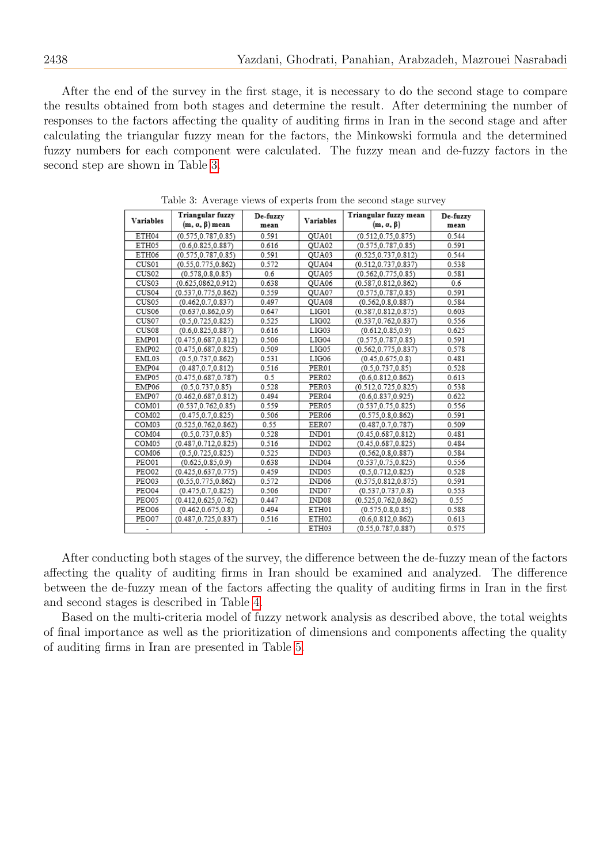After the end of the survey in the first stage, it is necessary to do the second stage to compare the results obtained from both stages and determine the result. After determining the number of responses to the factors affecting the quality of auditing firms in Iran in the second stage and after calculating the triangular fuzzy mean for the factors, the Minkowski formula and the determined fuzzy numbers for each component were calculated. The fuzzy mean and de-fuzzy factors in the second step are shown in Table [3.](#page-9-0)

<span id="page-9-0"></span>

| <b>Variables</b>  | Triangular fuzzy          | De-fuzzy | <b>Variables</b>  | Triangular fuzzy mean | De-fuzzy |
|-------------------|---------------------------|----------|-------------------|-----------------------|----------|
|                   | $(m, \alpha, \beta)$ mean | mean     |                   | $(m, \alpha, \beta)$  | mean     |
| ETH04             | (0.575, 0.787, 0.85)      | 0.591    | QUA01             | (0.512, 0.75, 0.875)  | 0.544    |
| ETH05             | (0.6, 0.825, 0.887)       | 0.616    | QUA02             | (0.575, 0.787, 0.85)  | 0.591    |
| ETH06             | (0.575.0.787.0.85)        | 0.591    | QUA03             | (0.525.0.737.0.812)   | 0.544    |
| CUS01             | (0.55.0.775.0.862)        | 0.572    | QUA04             | (0.512.0.737.0.837)   | 0.538    |
| CUS <sub>02</sub> | (0.578, 0.8, 0.85)        | 0.6      | QUA05             | (0.562, 0.775, 0.85)  | 0.581    |
| CUS03             | (0.625, 0862, 0.912)      | 0.638    | QUA06             | (0.587, 0.812, 0.862) | 0.6      |
| CUS04             | (0.537, 0.775, 0.862)     | 0.559    | QUA07             | (0.575, 0.787, 0.85)  | 0.591    |
| CUS05             | (0.462.0.7.0.837)         | 0.497    | OUA08             | (0.562.0.8.0.887)     | 0.584    |
| CUS06             | (0.637.0.862.0.9)         | 0.647    | LIG01             | (0.587, 0.812, 0.875) | 0.603    |
| CUS07             | (0.5, 0.725, 0.825)       | 0.525    | LIG02             | (0.537, 0.762, 0.837) | 0.556    |
| CUS08             | (0.6, 0.825, 0.887)       | 0.616    | LIG03             | (0.612, 0.85, 0.9)    | 0.625    |
| EMP01             | (0.475, 0.687, 0.812)     | 0.506    | LIG04             | (0.575, 0.787, 0.85)  | 0.591    |
| EMP02             | (0.475, 0.687, 0.825)     | 0.509    | LIG05             | (0.562, 0.775, 0.837) | 0.578    |
| EML03             | (0.5, 0.737, 0.862)       | 0.531    | LIG06             | (0.45.0.675.0.8)      | 0.481    |
| EMP04             | (0.487.0.7.0.812)         | 0.516    | PER01             | (0.5.0.737.0.85)      | 0.528    |
| EMP05             | (0.475, 0.687, 0.787)     | 0.5      | PER <sub>02</sub> | (0.6, 0.812, 0.862)   | 0.613    |
| EMP06             | (0.5, 0.737, 0.85)        | 0.528    | PER03             | (0.512, 0.725, 0.825) | 0.538    |
| EMP07             | (0.462, 0.687, 0.812)     | 0.494    | PER04             | (0.6.0.837.0.925)     | 0.622    |
| COM01             | (0.537, 0.762, 0.85)      | 0.559    | PER05             | (0.537, 0.75, 0.825)  | 0.556    |
| COM <sub>02</sub> | (0.475, 0.7, 0.825)       | 0.506    | PER06             | (0.575, 0.8, 0.862)   | 0.591    |
| COM03             | (0.525, 0.762, 0.862)     | 0.55     | EER07             | (0.487, 0.7, 0.787)   | 0.509    |
| COM04             | (0.5, 0.737, 0.85)        | 0.528    | IND01             | (0.45, 0.687, 0.812)  | 0.481    |
| COM05             | (0.487, 0.712, 0.825)     | 0.516    | IND <sub>02</sub> | (0.45, 0.687, 0.825)  | 0.484    |
| COM <sub>06</sub> | (0.5, 0.725, 0.825)       | 0.525    | IND03             | (0.562, 0.8, 0.887)   | 0.584    |
| PEO01             | (0.625, 0.85, 0.9)        | 0.638    | IND <sub>04</sub> | (0.537, 0.75, 0.825)  | 0.556    |
| PEO02             | (0.425, 0.637, 0.775)     | 0.459    | IND05             | (0.5, 0.712, 0.825)   | 0.528    |
| PEO03             | (0.55, 0.775, 0.862)      | 0.572    | IND06             | (0.575, 0.812, 0.875) | 0.591    |
| PEO04             | (0.475, 0.7, 0.825)       | 0.506    | IND07             | (0.537, 0.737, 0.8)   | 0.553    |
| PEO05             | (0.412, 0.625, 0.762)     | 0.447    | IND08             | (0.525, 0.762, 0.862) | 0.55     |
| PEO06             | (0.462, 0.675, 0.8)       | 0.494    | ETH01             | (0.575, 0.8, 0.85)    | 0.588    |
| PEO07             | (0.487, 0.725, 0.837)     | 0.516    | ETH02             | (0.6.0.812.0.862)     | 0.613    |
|                   |                           |          | ETH03             | (0.55, 0.787, 0.887)  | 0.575    |

Table 3: Average views of experts from the second stage survey

After conducting both stages of the survey, the difference between the de-fuzzy mean of the factors affecting the quality of auditing firms in Iran should be examined and analyzed. The difference between the de-fuzzy mean of the factors affecting the quality of auditing firms in Iran in the first and second stages is described in Table [4.](#page-10-0)

Based on the multi-criteria model of fuzzy network analysis as described above, the total weights of final importance as well as the prioritization of dimensions and components affecting the quality of auditing firms in Iran are presented in Table [5.](#page-10-1)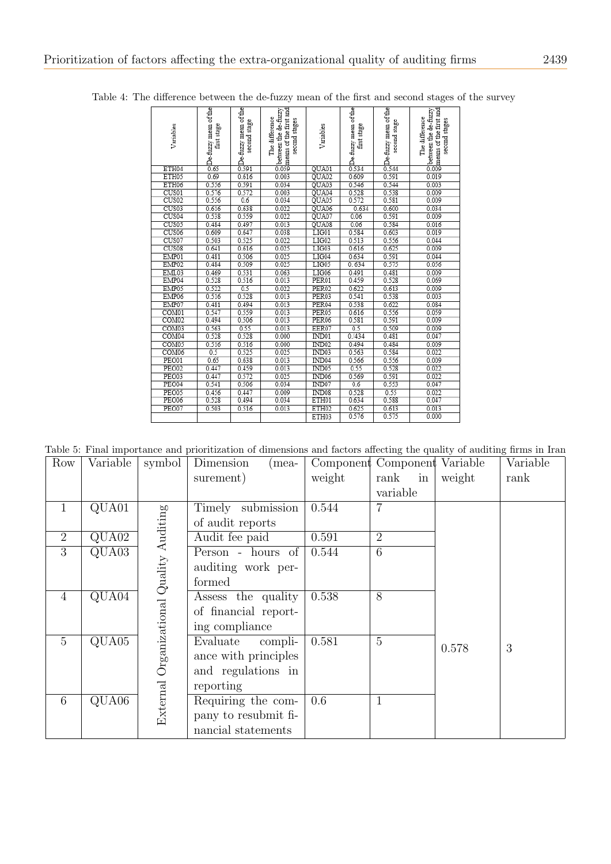| Variables         | oDe-fuzzy mean of the<br>Collect first stage<br>first stage | CDe-fuzzy mean of the<br>SQDe-second stage | Obetween the de-fuzzy<br>Comeans of the first and<br>The difference<br>second stages | Variables         | ODe-fuzzy mean of the<br>art stage<br>4 | ODe-fuzzy mean of the<br>$\frac{1}{4}$ second stage | Obetween the de-fuzzy<br>Omeans of the first and<br>The difference<br>second stages |  |
|-------------------|-------------------------------------------------------------|--------------------------------------------|--------------------------------------------------------------------------------------|-------------------|-----------------------------------------|-----------------------------------------------------|-------------------------------------------------------------------------------------|--|
| ETH04             |                                                             |                                            |                                                                                      | QUA01             |                                         |                                                     |                                                                                     |  |
| ETH05             | 0.69                                                        | 0.616                                      | 0.003                                                                                | QUA02             | 0.609                                   | 0.591                                               | 0.019                                                                               |  |
| ETH06             | 0.556                                                       | 0.591                                      | 0.034                                                                                | QUA03             | 0.546                                   | 0.544                                               | 0.003                                                                               |  |
| CUS01             | 0.576                                                       | 0.572                                      | 0.003                                                                                | QUA04             | 0.528                                   | 0.538                                               | 0.009                                                                               |  |
| CUS <sub>02</sub> | 0.556                                                       | 0.6                                        | 0.034                                                                                | QUA05             | 0.572                                   | 0.581                                               | 0.009                                                                               |  |
| CUS <sub>03</sub> | 0.616                                                       | 0.638                                      | 0.022                                                                                | QUA06             | 0.634                                   | 0.600                                               | 0.034                                                                               |  |
| CUS <sub>04</sub> | 0.538                                                       | 0.559                                      | 0.022                                                                                | QUA07             | 0.06                                    | 0.591                                               | 0.009                                                                               |  |
| CUS <sub>05</sub> | 0.484                                                       | 0.497                                      | 0.013                                                                                | QUA08             | 0.06                                    | 0.584                                               | 0.016                                                                               |  |
| CUS <sub>06</sub> | 0.609                                                       | 0.647                                      | 0.038                                                                                | LIG01             | 0.584                                   | 0.603                                               | 0.019                                                                               |  |
| CUS <sub>07</sub> | 0.503                                                       | 0.525                                      | 0.022                                                                                | LIG02             | 0.513                                   | 0.556                                               | 0.044                                                                               |  |
| CUS <sub>08</sub> | 0.641                                                       | 0.616                                      | 0.025                                                                                | LIG03             | 0.616                                   | 0.625                                               | 0.009                                                                               |  |
| EMP01             | 0.481                                                       | 0.506                                      | 0.025                                                                                | LIG04             | 0.634                                   | 0.591                                               | 0.044                                                                               |  |
| EMP02             | 0.484                                                       | 0.509                                      | 0.025                                                                                | LIG05             | 0.634                                   | 0.575                                               | 0.056                                                                               |  |
| EML03             | 0.469                                                       | 0.531                                      | 0.063                                                                                | LIG06             | 0.491                                   | 0.481                                               | 0.009                                                                               |  |
| EMP04             | 0.528                                                       | 0.516                                      | 0.013                                                                                | PER01             | 0.459                                   | 0.528                                               | 0.069                                                                               |  |
| EMP05             | 0.522                                                       | 0.5                                        | 0.022                                                                                | PER <sub>02</sub> | 0.622                                   | 0.613                                               | 0.009                                                                               |  |
| EMP06             | 0.516                                                       | 0.528                                      | 0.013                                                                                | PER03             | 0.541                                   | 0.538                                               | 0.003                                                                               |  |
| EMP07             | 0.481                                                       | 0.494                                      | 0.013                                                                                | PER04             | 0.538                                   | 0.622                                               | 0.084                                                                               |  |
| COM <sub>01</sub> | 0.547                                                       | 0.559                                      | 0.013                                                                                | PER <sub>05</sub> | 0.616                                   | 0.556                                               | 0.059                                                                               |  |
| COM <sub>02</sub> | 0.494                                                       | 0.506                                      | 0.013                                                                                | PER <sub>06</sub> | 0.581                                   | 0.591                                               | 0.009                                                                               |  |
| COM <sub>03</sub> | 0.563                                                       | 0.55                                       | 0.013                                                                                | EER07             | 0.5                                     | 0.509                                               | 0.009                                                                               |  |
| COM04             | 0.528                                                       | 0.528                                      | 0.000                                                                                | IND01             | 0. / 434                                | 0.481                                               | 0.047                                                                               |  |
| COM <sub>05</sub> | 0.516                                                       | 0.516                                      | 0.000                                                                                | IND <sub>02</sub> | 0.494                                   | 0.484                                               | 0.009                                                                               |  |
| COM <sub>06</sub> | 0.5                                                         | 0.525                                      | 0.025                                                                                | IND03             | 0.563                                   | 0.584                                               | 0.022                                                                               |  |
| PEO01             | 0.65                                                        | 0.638                                      | 0.013                                                                                | IND <sub>04</sub> | 0.566                                   | 0.556                                               | 0.009                                                                               |  |
| <b>PEO02</b>      | 0.447                                                       | 0.459                                      | 0.013                                                                                | IND05             | 0.55                                    | 0.528                                               | 0.022                                                                               |  |
| PEO03             | 0.447                                                       | 0.572                                      | 0.025                                                                                | IND <sub>06</sub> | 0.569                                   | 0.591                                               | 0.022                                                                               |  |
| PEO04             | 0.541                                                       | 0.506                                      | 0.034                                                                                | IND07             | 0.6                                     | 0.553                                               | 0.047                                                                               |  |
| <b>PEO05</b>      | 0.456                                                       | 0.447                                      | 0.009                                                                                | IND08             | 0.528                                   | 0.55                                                | 0.022                                                                               |  |
| <b>PEO06</b>      | 0.528                                                       | 0.494                                      | 0.034                                                                                | ETH01             | 0.634                                   | 0.588                                               | 0.047                                                                               |  |
| PEO07             | 0.503                                                       | 0.516                                      | 0.013                                                                                | ETH <sub>02</sub> | 0.625                                   | 0.613                                               | 0.013                                                                               |  |
|                   |                                                             |                                            |                                                                                      | ETH03             | 0.576                                   | 0.575                                               | 0.000                                                                               |  |

<span id="page-10-0"></span>Table 4: The difference between the de-fuzzy mean of the first and second stages of the survey

<span id="page-10-1"></span>Table 5: Final importance and prioritization of dimensions and factors affecting the quality of auditing firms in Iran

| Row            | Variable                  | symbol                                   | Dimension                             | (mea-   | Component Component Variable |                 |        | Variable |
|----------------|---------------------------|------------------------------------------|---------------------------------------|---------|------------------------------|-----------------|--------|----------|
|                |                           |                                          | surement)                             |         | weight                       | rank<br>in      | weight | rank     |
|                |                           |                                          |                                       |         |                              | variable        |        |          |
| $\mathbf{1}$   | QUA01                     |                                          | Timely submission                     |         | 0.544                        | $\overline{7}$  |        |          |
|                |                           |                                          | of audit reports                      |         |                              |                 |        |          |
| $\overline{2}$ | $\overline{\text{QUA02}}$ |                                          | Audit fee paid                        |         | 0.591                        | $\overline{2}$  |        |          |
| 3              | QUA03                     |                                          | Person - hours of                     |         | 0.544                        | $6\phantom{.}6$ |        |          |
|                |                           |                                          | auditing work per-                    |         |                              |                 |        |          |
|                |                           |                                          | formed                                |         |                              |                 |        |          |
| $\overline{4}$ | $\overline{\text{QUA04}}$ |                                          | Assess the quality                    |         | 0.538                        | 8               |        |          |
|                |                           |                                          | of financial report-                  |         |                              |                 |        |          |
|                |                           | External Organizational Quality Auditing | ing compliance                        |         |                              |                 |        |          |
| $\overline{5}$ | QUA05                     |                                          | Evaluate                              | compli- | 0.581                        | $\overline{5}$  | 0.578  | 3        |
|                |                           |                                          | ance with principles                  |         |                              |                 |        |          |
|                |                           |                                          | and regulations in                    |         |                              |                 |        |          |
|                |                           |                                          | reporting                             |         |                              |                 |        |          |
| 6              | $\overline{\text{QUA06}}$ |                                          | $\overline{\text{Required}}$ the com- |         | 0.6                          | $\mathbf{1}$    |        |          |
|                |                           |                                          | pany to resubmit fi-                  |         |                              |                 |        |          |
|                |                           |                                          | nancial statements                    |         |                              |                 |        |          |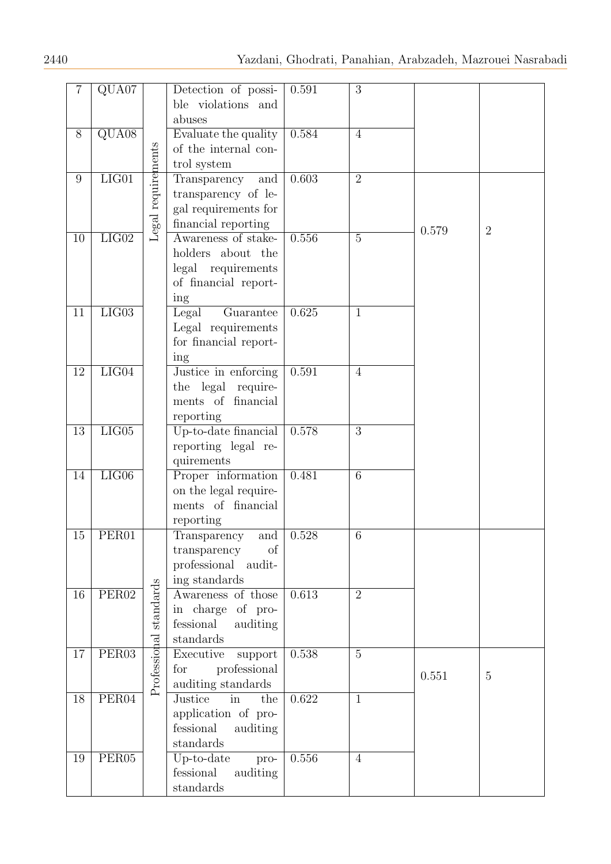| $\overline{7}$ | QUA07                       |                        | Detection of possi-   | 0.591 | 3               |       |                |
|----------------|-----------------------------|------------------------|-----------------------|-------|-----------------|-------|----------------|
|                |                             |                        | ble violations and    |       |                 |       |                |
|                |                             |                        | abuses                |       |                 |       |                |
| $\overline{8}$ | $\overline{\text{QUA08}}$   |                        | Evaluate the quality  | 0.584 | $\overline{4}$  |       |                |
|                |                             |                        | of the internal con-  |       |                 |       |                |
|                |                             |                        | trol system           |       |                 |       |                |
| $9\phantom{.}$ | $LI$ G $01$                 | Legal requirements     | Transparency<br>and   | 0.603 | $\overline{2}$  |       |                |
|                |                             |                        | transparency of le-   |       |                 |       |                |
|                |                             |                        | gal requirements for  |       |                 |       |                |
|                |                             |                        | financial reporting   |       |                 |       |                |
|                | LIG02                       |                        | Awareness of stake-   | 0.556 | $\overline{5}$  | 0.579 | $\overline{2}$ |
| 10             |                             |                        |                       |       |                 |       |                |
|                |                             |                        | holders about the     |       |                 |       |                |
|                |                             |                        | legal<br>requirements |       |                 |       |                |
|                |                             |                        | of financial report-  |       |                 |       |                |
|                |                             |                        | ing                   |       |                 |       |                |
| 11             | $\overline{\text{LIG03}}$   |                        | Legal<br>Guarantee    | 0.625 | $\mathbf{1}$    |       |                |
|                |                             |                        | Legal requirements    |       |                 |       |                |
|                |                             |                        | for financial report- |       |                 |       |                |
|                |                             |                        | ing                   |       |                 |       |                |
| 12             | LIG04                       |                        | Justice in enforcing  | 0.591 | $\overline{4}$  |       |                |
|                |                             |                        | the legal require-    |       |                 |       |                |
|                |                             |                        | financial<br>ments of |       |                 |       |                |
|                |                             |                        | reporting             |       |                 |       |                |
| 13             | $\overline{\mathrm{LIG05}}$ |                        | Up-to-date financial  | 0.578 | $\overline{3}$  |       |                |
|                |                             |                        | reporting legal re-   |       |                 |       |                |
|                |                             |                        | quirements            |       |                 |       |                |
| 14             | LIG06                       |                        | Proper information    | 0.481 | $6\phantom{.}6$ |       |                |
|                |                             |                        | on the legal require- |       |                 |       |                |
|                |                             |                        | ments of financial    |       |                 |       |                |
|                |                             |                        | reporting             |       |                 |       |                |
| 15             | PER01                       |                        | and<br>Transparency   | 0.528 | 6               |       |                |
|                |                             |                        | of<br>transparency    |       |                 |       |                |
|                |                             |                        | professional audit-   |       |                 |       |                |
|                |                             |                        | ing standards         |       |                 |       |                |
| 16             | PER <sub>02</sub>           |                        | Awareness of those    | 0.613 | $\overline{2}$  |       |                |
|                |                             |                        | in charge of pro-     |       |                 |       |                |
|                |                             |                        | fessional<br>auditing |       |                 |       |                |
|                |                             | Professional standards | standards             |       |                 |       |                |
| 17             | PER <sub>03</sub>           |                        | Executive<br>support  | 0.538 | $\overline{5}$  |       |                |
|                |                             |                        | professional<br>for   |       |                 |       |                |
|                |                             |                        | auditing standards    |       |                 | 0.551 | $\overline{5}$ |
| 18             | PER04                       |                        | Justice<br>the<br>in  | 0.622 | $\mathbf{1}$    |       |                |
|                |                             |                        | application of pro-   |       |                 |       |                |
|                |                             |                        | fessional<br>auditing |       |                 |       |                |
|                |                             |                        | standards             |       |                 |       |                |
| 19             | PER05                       |                        | Up-to-date<br>pro-    | 0.556 | $\overline{4}$  |       |                |
|                |                             |                        | fessional<br>auditing |       |                 |       |                |
|                |                             |                        | standards             |       |                 |       |                |
|                |                             |                        |                       |       |                 |       |                |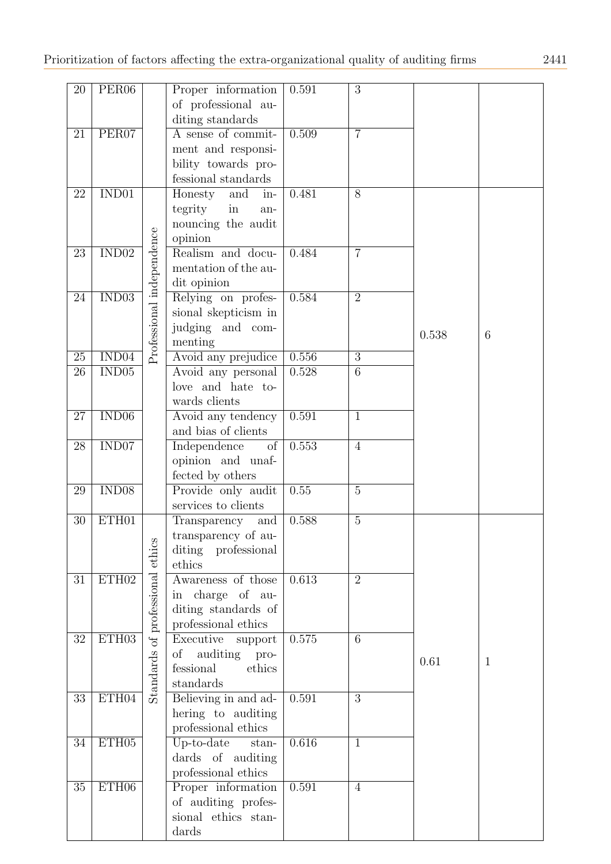| $20\,$          | PER <sub>06</sub>           |                           | Proper information       | 0.591 | 3              |       |                 |
|-----------------|-----------------------------|---------------------------|--------------------------|-------|----------------|-------|-----------------|
|                 |                             |                           | of professional au-      |       |                |       |                 |
|                 |                             |                           | diting standards         |       |                |       |                 |
| 21              | PER07                       |                           | A sense of commit-       | 0.509 | $\overline{7}$ |       |                 |
|                 |                             |                           | ment and responsi-       |       |                |       |                 |
|                 |                             |                           | bility towards pro-      |       |                |       |                 |
|                 |                             |                           | fessional standards      |       |                |       |                 |
| 22              | IND01                       |                           | Honesty<br>and<br>in-    | 0.481 | 8              |       |                 |
|                 |                             |                           | tegrity<br>in<br>an-     |       |                |       |                 |
|                 |                             |                           | nouncing the audit       |       |                |       |                 |
|                 |                             |                           | opinion                  |       |                |       |                 |
| 23              | $\overline{\mathrm{IND}02}$ |                           | Realism and docu-        | 0.484 | $\overline{7}$ |       |                 |
|                 |                             |                           |                          |       |                |       |                 |
|                 |                             |                           | mentation of the au-     |       |                |       |                 |
|                 |                             |                           | dit opinion              |       |                |       |                 |
| 24              | $\overline{\mathrm{IND}03}$ |                           | Relying on profes-       | 0.584 | $\overline{2}$ |       |                 |
|                 |                             |                           | sional skepticism in     |       |                |       |                 |
|                 |                             |                           | judging and com-         |       |                | 0.538 | $6\phantom{.}6$ |
|                 |                             | Professional independence | menting                  |       |                |       |                 |
| $\overline{25}$ | IND04                       |                           | Avoid any prejudice      | 0.556 | $\overline{3}$ |       |                 |
| 26              | IND <sub>05</sub>           |                           | Avoid any personal       | 0.528 | $\overline{6}$ |       |                 |
|                 |                             |                           | love and hate to-        |       |                |       |                 |
|                 |                             |                           | wards clients            |       |                |       |                 |
| 27              | IND06                       |                           | Avoid any tendency       | 0.591 | $\mathbf{1}$   |       |                 |
|                 |                             |                           | and bias of clients      |       |                |       |                 |
| 28              | IND <sub>07</sub>           |                           | Independence<br>$\sigma$ | 0.553 | $\overline{4}$ |       |                 |
|                 |                             |                           | opinion and unaf-        |       |                |       |                 |
|                 |                             |                           | fected by others         |       |                |       |                 |
| 29              | IND08                       |                           | Provide only audit       | 0.55  | $\overline{5}$ |       |                 |
|                 |                             |                           | services to clients      |       |                |       |                 |
| 30              | ETH01                       |                           | Transparency<br>and      | 0.588 | $\mathbf 5$    |       |                 |
|                 |                             |                           | transparency of au-      |       |                |       |                 |
|                 |                             |                           | diting<br>professional   |       |                |       |                 |
|                 |                             |                           | ethics                   |       |                |       |                 |
| 31              | ETH02                       | professional ethics       | Awareness of those       | 0.613 | $\overline{2}$ |       |                 |
|                 |                             |                           |                          |       |                |       |                 |
|                 |                             |                           | in charge of au-         |       |                |       |                 |
|                 |                             |                           | diting standards of      |       |                |       |                 |
|                 |                             |                           | professional ethics      |       |                |       |                 |
| $\overline{32}$ | ETH03                       |                           | Executive support        | 0.575 | 6              |       |                 |
|                 |                             |                           | auditing<br>οf<br>pro-   |       |                | 0.61  | $\mathbf{1}$    |
|                 |                             |                           | fessional<br>ethics      |       |                |       |                 |
|                 |                             | Standards of              | standards                |       |                |       |                 |
| 33              | ETH04                       |                           | Believing in and ad-     | 0.591 | $\overline{3}$ |       |                 |
|                 |                             |                           | hering to auditing       |       |                |       |                 |
|                 |                             |                           | professional ethics      |       |                |       |                 |
| 34              | ETH <sub>05</sub>           |                           | $Up-to-date$<br>$stan-$  | 0.616 | $\mathbf{1}$   |       |                 |
|                 |                             |                           | dards of auditing        |       |                |       |                 |
|                 |                             |                           | professional ethics      |       |                |       |                 |
| 35              | ETH <sub>06</sub>           |                           | Proper information       | 0.591 | $\overline{4}$ |       |                 |
|                 |                             |                           | of auditing profes-      |       |                |       |                 |
|                 |                             |                           | sional ethics stan-      |       |                |       |                 |
|                 |                             |                           | dards                    |       |                |       |                 |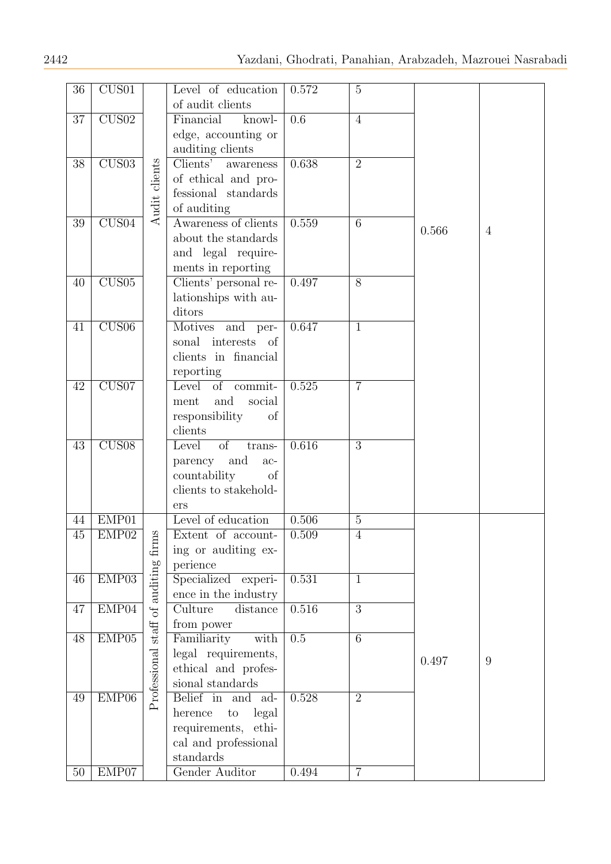| 36              | CUS01                       |                       | Level of education<br>of audit clients        | 0.572            | $\overline{5}$ |       |                |
|-----------------|-----------------------------|-----------------------|-----------------------------------------------|------------------|----------------|-------|----------------|
| 37              | CUS02                       |                       | Financial<br>knowl-                           | $\overline{0.6}$ | $\overline{4}$ |       |                |
|                 |                             |                       | edge, accounting or                           |                  |                |       |                |
|                 |                             |                       | auditing clients                              |                  |                |       |                |
| $\overline{38}$ | $\overline{\mathrm{CUS}03}$ |                       | Clients' awareness                            | 0.638            | $\overline{2}$ |       |                |
|                 |                             |                       | of ethical and pro-                           |                  |                |       |                |
|                 |                             |                       | fessional standards                           |                  |                |       |                |
|                 |                             | Audit clients         | of auditing                                   |                  |                |       |                |
| 39              | CUS04                       |                       | Awareness of clients                          | 0.559            | $\overline{6}$ |       |                |
|                 |                             |                       | about the standards                           |                  |                | 0.566 | $\overline{4}$ |
|                 |                             |                       | and legal require-                            |                  |                |       |                |
|                 |                             |                       | ments in reporting                            |                  |                |       |                |
| 40              | CUS05                       |                       | Clients' personal re-                         | 0.497            | $\overline{8}$ |       |                |
|                 |                             |                       | lationships with au-                          |                  |                |       |                |
|                 |                             |                       | ditors                                        |                  |                |       |                |
| 41              | CUS06                       |                       | Motives and per-                              | 0.647            | $\mathbf{1}$   |       |                |
|                 |                             |                       | sonal interests of                            |                  |                |       |                |
|                 |                             |                       | clients in financial                          |                  |                |       |                |
|                 |                             |                       | reporting                                     |                  |                |       |                |
| 42              | CUS07                       |                       | Level<br>$\overline{of}$<br>commit-           | 0.525            | $\overline{7}$ |       |                |
|                 |                             |                       | and<br>social<br>$\mathop{\rm ment}\nolimits$ |                  |                |       |                |
|                 |                             |                       | responsibility<br>of                          |                  |                |       |                |
|                 |                             |                       | clients                                       |                  |                |       |                |
| 43              | CUS08                       |                       | Level<br><sub>of</sub><br>trans-              | 0.616            | $\overline{3}$ |       |                |
|                 |                             |                       | parency<br>and<br>$ac-$                       |                  |                |       |                |
|                 |                             |                       | countability<br>of                            |                  |                |       |                |
|                 |                             |                       | clients to stakehold-                         |                  |                |       |                |
|                 |                             |                       | ers                                           |                  |                |       |                |
| 44              | EMP01                       |                       | Level of education                            | 0.506            | $\overline{5}$ |       |                |
| 45              | EMP <sub>02</sub>           |                       | Extent of account-                            | 0.509            | $\overline{4}$ |       |                |
|                 |                             | firms                 | ing or auditing ex-                           |                  |                |       |                |
|                 |                             |                       | perience                                      |                  |                |       |                |
| 46              | EMP03                       | of auditing           | Specialized experi-                           | 0.531            | $\mathbf{1}$   |       |                |
|                 |                             |                       | ence in the industry                          |                  |                |       |                |
| 47              | EMP04                       |                       | Culture<br>distance                           | 0.516            | $\overline{3}$ |       |                |
|                 |                             |                       | from power                                    |                  |                |       |                |
| 48              | EMP05                       | $\operatorname{stat}$ | Familiarity<br>with                           | $\overline{0.5}$ | $\overline{6}$ |       |                |
|                 |                             |                       | legal requirements,                           |                  |                | 0.497 | 9              |
|                 |                             |                       | ethical and profes-                           |                  |                |       |                |
|                 |                             |                       | sional standards                              |                  |                |       |                |
| 49              | EMP06                       | Professional          | Belief in and<br>ad-                          | 0.528            | $\overline{2}$ |       |                |
|                 |                             |                       | legal<br>herence<br>$\rm{to}$                 |                  |                |       |                |
|                 |                             |                       | requirements, ethi-                           |                  |                |       |                |
|                 |                             |                       | cal and professional                          |                  |                |       |                |
|                 |                             |                       | standards                                     |                  |                |       |                |
| $50\,$          | EMP07                       |                       | Gender Auditor                                | 0.494            | $\overline{7}$ |       |                |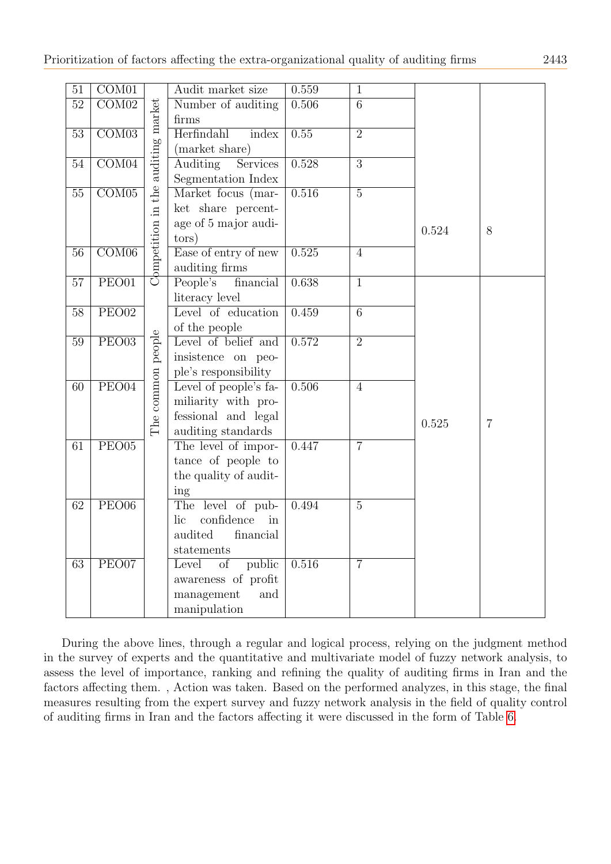| 51              | COM01                     |                              | Audit market size       | 0.559 | $\mathbf{1}$   |       |                |
|-----------------|---------------------------|------------------------------|-------------------------|-------|----------------|-------|----------------|
| 52              | $\overline{\text{COM}02}$ |                              | Number of auditing      | 0.506 | $\overline{6}$ |       |                |
|                 |                           |                              | firms                   |       |                |       |                |
| $\overline{53}$ | $\overline{\text{COM03}}$ |                              | Herfindahl<br>index     | 0.55  | $\overline{2}$ |       |                |
|                 |                           |                              | (market share)          |       |                |       |                |
| 54              | COM04                     |                              | Auditing<br>Services    | 0.528 | $\overline{3}$ |       |                |
|                 |                           |                              | Segmentation Index      |       |                |       |                |
| 55              | $\overline{\text{COM05}}$ | the auditing market          | Market focus (mar-      | 0.516 | $\overline{5}$ |       |                |
|                 |                           |                              | ket share percent-      |       |                |       |                |
|                 |                           |                              | age of 5 major audi-    |       |                | 0.524 | 8              |
|                 |                           |                              | tors)                   |       |                |       |                |
| $\overline{56}$ | $\overline{\text{COM06}}$ |                              | Ease of entry of new    | 0.525 | $\overline{4}$ |       |                |
|                 |                           | $C$ <sub>pmpetition</sub> in | auditing firms          |       |                |       |                |
| 57              | PEO01                     |                              | financial<br>People's   | 0.638 | $\overline{1}$ |       |                |
|                 |                           |                              | literacy level          |       |                |       |                |
| 58              | $\overline{\text{PEO}02}$ |                              | Level of education      | 0.459 | $\overline{6}$ |       |                |
|                 |                           |                              | of the people           |       |                |       |                |
| 59              | $\overline{\text{PE}003}$ |                              | Level of belief and     | 0.572 | $\overline{2}$ |       |                |
|                 |                           |                              | insistence on peo-      |       |                |       |                |
|                 |                           |                              | ple's responsibility    |       |                |       |                |
| 60              | $\overline{\text{PEO04}}$ | The common people            | Level of people's fa-   | 0.506 | $\overline{4}$ |       |                |
|                 |                           |                              | miliarity with pro-     |       |                |       |                |
|                 |                           |                              | fessional and legal     |       |                | 0.525 | $\overline{7}$ |
|                 |                           |                              | auditing standards      |       |                |       |                |
| 61              | PEO05                     |                              | The level of impor-     | 0.447 | $\overline{7}$ |       |                |
|                 |                           |                              | tance of people to      |       |                |       |                |
|                 |                           |                              | the quality of audit-   |       |                |       |                |
|                 |                           |                              | ing                     |       |                |       |                |
| 62              | PEO06                     |                              | The level of pub-       | 0.494 | $\overline{5}$ |       |                |
|                 |                           |                              | confidence<br>lic<br>in |       |                |       |                |
|                 |                           |                              | audited<br>financial    |       |                |       |                |
|                 |                           |                              | statements              |       |                |       |                |
| 63              | PEO07                     |                              | Level<br>of<br>public   | 0.516 | $\overline{7}$ |       |                |
|                 |                           |                              | awareness of profit     |       |                |       |                |
|                 |                           |                              | management<br>and       |       |                |       |                |
|                 |                           |                              | manipulation            |       |                |       |                |

During the above lines, through a regular and logical process, relying on the judgment method in the survey of experts and the quantitative and multivariate model of fuzzy network analysis, to assess the level of importance, ranking and refining the quality of auditing firms in Iran and the factors affecting them. , Action was taken. Based on the performed analyzes, in this stage, the final measures resulting from the expert survey and fuzzy network analysis in the field of quality control of auditing firms in Iran and the factors affecting it were discussed in the form of Table [6.](#page-15-0)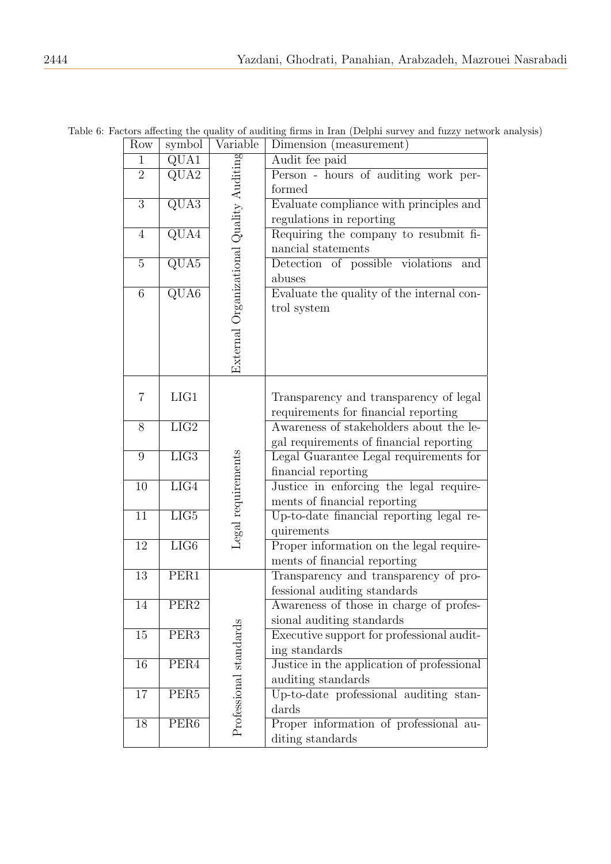| Row            | symbol                    | Variable                                 | Dimension (measurement)                    |
|----------------|---------------------------|------------------------------------------|--------------------------------------------|
| $\mathbf{1}$   | QUA1                      | External Organizational Quality Auditing | Audit fee paid                             |
| $\overline{2}$ | $\overline{\text{QUA2}}$  |                                          | Person - hours of auditing work per-       |
|                |                           |                                          | formed                                     |
| $\overline{3}$ | $\overline{\text{QU}}$ A3 |                                          | Evaluate compliance with principles and    |
|                |                           |                                          | regulations in reporting                   |
| $\overline{4}$ | $\overline{\text{QUA4}}$  |                                          | Requiring the company to resubmit fi-      |
|                |                           |                                          | nancial statements                         |
| $\overline{5}$ | $\overline{\text{QUA5}}$  |                                          | Detection of possible violations<br>and    |
|                |                           |                                          | abuses                                     |
| $\,$ 6 $\,$    | $\overline{\text{QUA6}}$  |                                          | Evaluate the quality of the internal con-  |
|                |                           |                                          | trol system                                |
|                |                           |                                          |                                            |
|                |                           |                                          |                                            |
|                |                           |                                          |                                            |
|                |                           |                                          |                                            |
|                |                           |                                          |                                            |
| 7              | LIG1                      |                                          | Transparency and transparency of legal     |
|                |                           |                                          | requirements for financial reporting       |
| 8              | $\overline{\text{LIG2}}$  |                                          | Awareness of stakeholders about the le-    |
|                |                           |                                          | gal requirements of financial reporting    |
| 9              | LIG3                      | Legal requirements                       | Legal Guarantee Legal requirements for     |
|                |                           |                                          | financial reporting                        |
| 10             | LIG4                      |                                          | Justice in enforcing the legal require-    |
|                |                           |                                          | ments of financial reporting               |
| 11             | $\overline{LIG5}$         |                                          | Up-to-date financial reporting legal re-   |
|                |                           |                                          | quirements                                 |
| 12             | LIG6                      |                                          | Proper information on the legal require-   |
|                |                           |                                          | ments of financial reporting               |
| 13             | PER1                      |                                          | Transparency and transparency of pro-      |
|                |                           |                                          | fessional auditing standards               |
| 14             | PER <sub>2</sub>          |                                          | Awareness of those in charge of profes-    |
|                |                           |                                          | sional auditing standards                  |
| 15             | PER <sub>3</sub>          |                                          | Executive support for professional audit-  |
|                |                           |                                          | ing standards                              |
| 16             | PER4                      | Professional standards                   | Justice in the application of professional |
|                |                           |                                          | auditing standards                         |
| 17             | PER <sub>5</sub>          |                                          | Up-to-date professional auditing stan-     |
|                |                           |                                          | dards                                      |
| 18             | PER6                      |                                          | Proper information of professional au-     |
|                |                           |                                          | diting standards                           |

<span id="page-15-0"></span>Table 6: Factors affecting the quality of auditing firms in Iran (Delphi survey and fuzzy network analysis)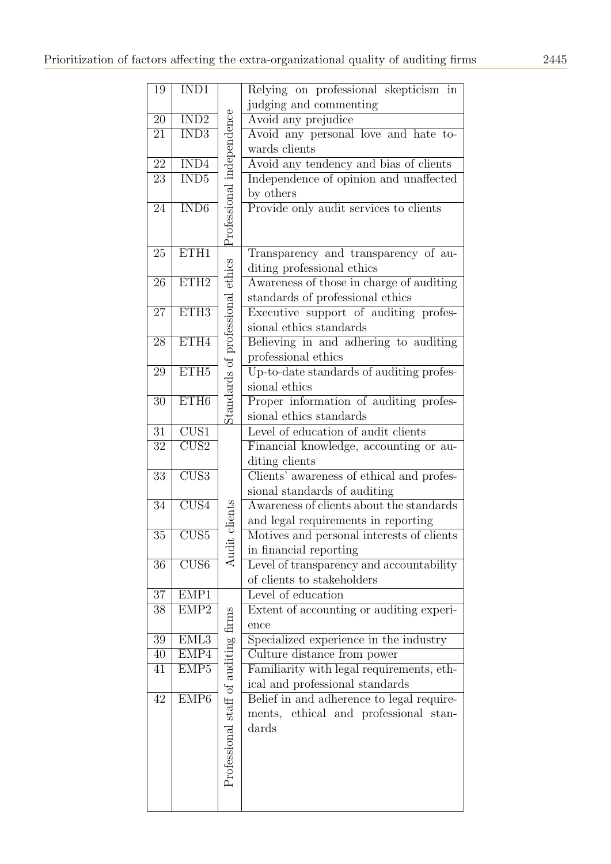| 19              | IND1                       |                                      | Relying on professional skepticism in                                        |
|-----------------|----------------------------|--------------------------------------|------------------------------------------------------------------------------|
|                 |                            |                                      | judging and commenting                                                       |
| 20              | $\overline{\mathrm{IND2}}$ |                                      | Avoid any prejudice                                                          |
| 21              | $\overline{\mathrm{IND3}}$ |                                      | Avoid any personal love and hate to-                                         |
|                 |                            |                                      | wards clients                                                                |
| $\overline{22}$ | $\overline{\text{IND4}}$   |                                      | Avoid any tendency and bias of clients                                       |
| 23              | $\overline{\mathrm{IND5}}$ |                                      | Independence of opinion and unaffected                                       |
|                 |                            |                                      | by others                                                                    |
| 24              | IND <sub>6</sub>           | Professional independence            | Provide only audit services to clients                                       |
|                 |                            |                                      |                                                                              |
|                 |                            |                                      |                                                                              |
| 25              | ETH1                       |                                      | Transparency and transparency of au-                                         |
|                 |                            |                                      | diting professional ethics                                                   |
| 26              | ETH2                       |                                      | Awareness of those in charge of auditing                                     |
|                 |                            |                                      | standards of professional ethics                                             |
| 27              | ETH3                       |                                      | Executive support of auditing profes-                                        |
|                 |                            | Standards of professional ethics     | sional ethics standards                                                      |
| 28              | ETH4                       |                                      | Believing in and adhering to auditing                                        |
|                 |                            |                                      | professional ethics                                                          |
| 29              | ETH5                       |                                      | Up-to-date standards of auditing profes-                                     |
|                 |                            |                                      | sional ethics                                                                |
| 30              | ETH <sub>6</sub>           |                                      | Proper information of auditing profes-                                       |
|                 |                            |                                      | sional ethics standards                                                      |
| 31              | $\overline{\mathrm{CUS1}}$ |                                      | Level of education of audit clients                                          |
| 32              | $\overline{\mathrm{CUS2}}$ |                                      | Financial knowledge, accounting or au-                                       |
|                 |                            |                                      | diting clients                                                               |
| 33              | $\overline{\mathrm{CUS3}}$ |                                      | Clients' awareness of ethical and profes-                                    |
|                 |                            |                                      | sional standards of auditing                                                 |
| $\overline{3}4$ | $\overline{\text{CUS4}}$   |                                      | Awareness of clients about the standards                                     |
|                 |                            | t clients                            | and legal requirements in reporting                                          |
| $35\,$          | CUS5                       |                                      | Motives and personal interests of clients                                    |
|                 |                            | Audi                                 | in financial reporting                                                       |
| 36              | CUS6                       |                                      | Level of transparency and accountability                                     |
|                 |                            |                                      | of clients to stakeholders                                                   |
| 37              | EMP1                       |                                      | Level of education                                                           |
| 38              | EMP2                       |                                      | Extent of accounting or auditing experi-                                     |
|                 |                            |                                      | ence                                                                         |
| $39\,$          | EML3                       |                                      | Specialized experience in the industry                                       |
| 40              | EMP4                       |                                      | Culture distance from power                                                  |
| 41              | EMP <sub>5</sub>           | Professional staff of auditing firms | Familiarity with legal requirements, eth-<br>ical and professional standards |
| 42              | EMP <sub>6</sub>           |                                      | Belief in and adherence to legal require-                                    |
|                 |                            |                                      | ments, ethical and professional stan-                                        |
|                 |                            |                                      | dards                                                                        |
|                 |                            |                                      |                                                                              |
|                 |                            |                                      |                                                                              |
|                 |                            |                                      |                                                                              |
|                 |                            |                                      |                                                                              |
|                 |                            |                                      |                                                                              |
|                 |                            |                                      |                                                                              |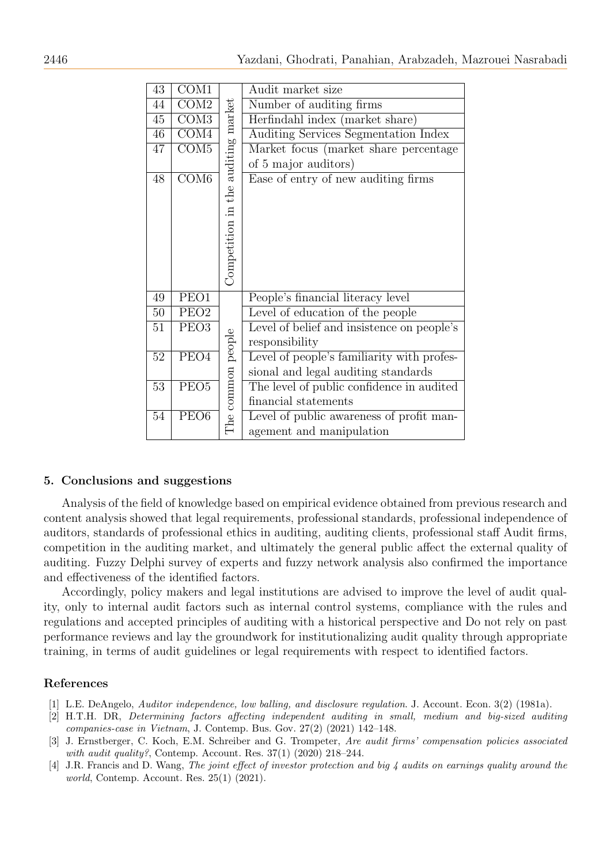| 43              | COM1                     |                                    | Audit market size                          |
|-----------------|--------------------------|------------------------------------|--------------------------------------------|
| 44              | COM2                     |                                    | Number of auditing firms                   |
| 45              | $\overline{\text{COM3}}$ | Competition in the auditing market | Herfindahl index (market share)            |
| 46              | $\overline{\text{COM4}}$ |                                    | Auditing Services Segmentation Index       |
| 47              | $\overline{\text{COM5}}$ |                                    | Market focus (market share percentage)     |
|                 |                          |                                    | of 5 major auditors)                       |
| 48              | COM <sub>6</sub>         |                                    | Ease of entry of new auditing firms        |
|                 |                          |                                    |                                            |
|                 |                          |                                    |                                            |
|                 |                          |                                    |                                            |
|                 |                          |                                    |                                            |
|                 |                          |                                    |                                            |
|                 |                          |                                    |                                            |
|                 |                          |                                    |                                            |
| 49              | PEO1                     |                                    | People's financial literacy level          |
| 50              | PEO <sub>2</sub>         |                                    | Level of education of the people           |
| 51              | PEO <sub>3</sub>         |                                    | Level of belief and insistence on people's |
|                 |                          |                                    | responsibility                             |
| 52              | $\overline{\text{PEO4}}$ | The common people                  | Level of people's familiarity with profes- |
|                 |                          |                                    | sional and legal auditing standards        |
| $\overline{53}$ | PEO <sub>5</sub>         |                                    | The level of public confidence in audited  |
|                 |                          |                                    | financial statements                       |
| 54              | PEO <sub>6</sub>         |                                    | Level of public awareness of profit man-   |
|                 |                          |                                    | agement and manipulation                   |

## 5. Conclusions and suggestions

Analysis of the field of knowledge based on empirical evidence obtained from previous research and content analysis showed that legal requirements, professional standards, professional independence of auditors, standards of professional ethics in auditing, auditing clients, professional staff Audit firms, competition in the auditing market, and ultimately the general public affect the external quality of auditing. Fuzzy Delphi survey of experts and fuzzy network analysis also confirmed the importance and effectiveness of the identified factors.

Accordingly, policy makers and legal institutions are advised to improve the level of audit quality, only to internal audit factors such as internal control systems, compliance with the rules and regulations and accepted principles of auditing with a historical perspective and Do not rely on past performance reviews and lay the groundwork for institutionalizing audit quality through appropriate training, in terms of audit guidelines or legal requirements with respect to identified factors.

## References

- <span id="page-17-1"></span>[1] L.E. DeAngelo, Auditor independence, low balling, and disclosure regulation. J. Account. Econ. 3(2) (1981a).
- <span id="page-17-2"></span>[2] H.T.H. DR, Determining factors affecting independent auditing in small, medium and big-sized auditing companies-case in Vietnam, J. Contemp. Bus. Gov. 27(2) (2021) 142–148.
- <span id="page-17-0"></span>[3] J. Ernstberger, C. Koch, E.M. Schreiber and G. Trompeter, Are audit firms' compensation policies associated with audit quality?, Contemp. Account. Res. 37(1) (2020) 218–244.
- <span id="page-17-3"></span>[4] J.R. Francis and D. Wang, The joint effect of investor protection and big 4 audits on earnings quality around the world, Contemp. Account. Res. 25(1) (2021).